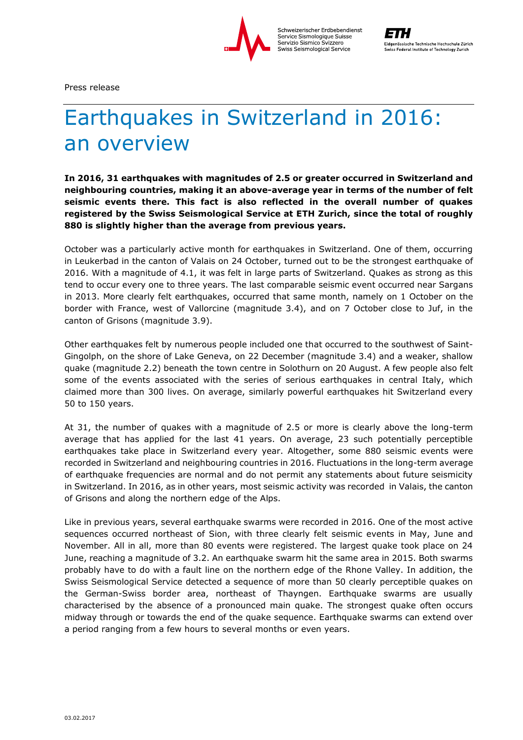

Press release

## Earthquakes in Switzerland in 2016: an overview

**In 2016, 31 earthquakes with magnitudes of 2.5 or greater occurred in Switzerland and neighbouring countries, making it an above-average year in terms of the number of felt seismic events there. This fact is also reflected in the overall number of quakes registered by the Swiss Seismological Service at ETH Zurich, since the total of roughly 880 is slightly higher than the average from previous years.**

October was a particularly active month for earthquakes in Switzerland. One of them, occurring in Leukerbad in the canton of Valais on 24 October, turned out to be the strongest earthquake of 2016. With a magnitude of 4.1, it was felt in large parts of Switzerland. Quakes as strong as this tend to occur every one to three years. The last comparable seismic event occurred near Sargans in 2013. More clearly felt earthquakes, occurred that same month, namely on 1 October on the border with France, west of Vallorcine (magnitude 3.4), and on 7 October close to Juf, in the canton of Grisons (magnitude 3.9).

Other earthquakes felt by numerous people included one that occurred to the southwest of Saint-Gingolph, on the shore of Lake Geneva, on 22 December (magnitude 3.4) and a weaker, shallow quake (magnitude 2.2) beneath the town centre in Solothurn on 20 August. A few people also felt some of the events associated with the series of serious earthquakes in central Italy, which claimed more than 300 lives. On average, similarly powerful earthquakes hit Switzerland every 50 to 150 years.

At 31, the number of quakes with a magnitude of 2.5 or more is clearly above the long-term average that has applied for the last 41 years. On average, 23 such potentially perceptible earthquakes take place in Switzerland every year. Altogether, some 880 seismic events were recorded in Switzerland and neighbouring countries in 2016. Fluctuations in the long-term average of earthquake frequencies are normal and do not permit any statements about future seismicity in Switzerland. In 2016, as in other years, most seismic activity was recorded in Valais, the canton of Grisons and along the northern edge of the Alps.

Like in previous years, several earthquake swarms were recorded in 2016. One of the most active sequences occurred northeast of Sion, with three clearly felt seismic events in May, June and November. All in all, more than 80 events were registered. The largest quake took place on 24 June, reaching a magnitude of 3.2. An earthquake swarm hit the same area in 2015. Both swarms probably have to do with a fault line on the northern edge of the Rhone Valley. In addition, the Swiss Seismological Service detected a sequence of more than 50 clearly perceptible quakes on the German-Swiss border area, northeast of Thayngen. Earthquake swarms are usually characterised by the absence of a pronounced main quake. The strongest quake often occurs midway through or towards the end of the quake sequence. Earthquake swarms can extend over a period ranging from a few hours to several months or even years.